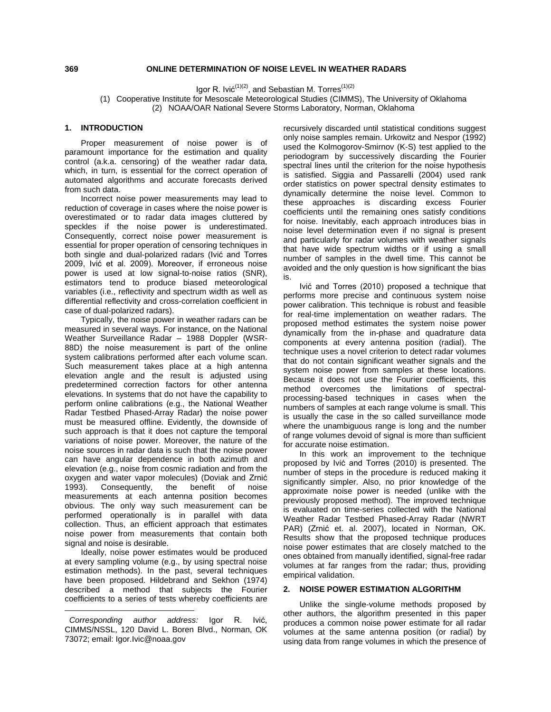# **ONLINE DETERMINATION OF NOISE LEVEL IN WEATHER RADARS**

Igor R. Ivić<sup>(1)(2)</sup>, and Sebastian M. Torres<sup>(1)(2)</sup>

(1) Cooperative Institute for Mesoscale Meteorological Studies (CIMMS), The University of Oklahoma (2) NOAA/OAR National Severe Storms Laboratory, Norman, Oklahoma

### [1](#page-0-0). **INTRODUCTION**

Proper measurement of noise power is of paramount importance for the estimation and quality control (a.k.a. censoring) of the weather radar data, which, in turn, is essential for the correct operation of automated algorithms and accurate forecasts derived from such data.

Incorrect noise power measurements may lead to reduction of coverage in cases where the noise power is overestimated or to radar data images cluttered by speckles if the noise power is underestimated. Consequently, correct noise power measurement is essential for proper operation of censoring techniques in both single and dual-polarized radars (Ivić and Torres 2009, Ivić et al. 2009). Moreover, if erroneous noise power is used at low signal-to-noise ratios (SNR), estimators tend to produce biased meteorological variables (i.e., reflectivity and spectrum width as well as differential reflectivity and cross-correlation coefficient in case of dual-polarized radars).

Typically, the noise power in weather radars can be measured in several ways. For instance, on the National Weather Surveillance Radar – 1988 Doppler (WSR-88D) the noise measurement is part of the online system calibrations performed after each volume scan. Such measurement takes place at a high antenna elevation angle and the result is adjusted using predetermined correction factors for other antenna elevations. In systems that do not have the capability to perform online calibrations (e.g., the National Weather Radar Testbed Phased-Array Radar) the noise power must be measured offline. Evidently, the downside of such approach is that it does not capture the temporal variations of noise power. Moreover, the nature of the noise sources in radar data is such that the noise power can have angular dependence in both azimuth and elevation (e.g., noise from cosmic radiation and from the oxygen and water vapor molecules) (Doviak and Zrnić 1993). Consequently, the benefit of noise measurements at each antenna position becomes obvious. The only way such measurement can be performed operationally is in parallel with data collection. Thus, an efficient approach that estimates noise power from measurements that contain both signal and noise is desirable.

Ideally, noise power estimates would be produced at every sampling volume (e.g., by using spectral noise estimation methods). In the past, several techniques have been proposed. Hildebrand and Sekhon (1974) described a method that subjects the Fourier coefficients to a series of tests whereby coefficients are recursively discarded until statistical conditions suggest only noise samples remain. Urkowitz and Nespor (1992) used the Kolmogorov-Smirnov (K-S) test applied to the periodogram by successively discarding the Fourier spectral lines until the criterion for the noise hypothesis is satisfied. Siggia and Passarelli (2004) used rank order statistics on power spectral density estimates to dynamically determine the noise level. Common to these approaches is discarding excess Fourier coefficients until the remaining ones satisfy conditions for noise. Inevitably, each approach introduces bias in noise level determination even if no signal is present and particularly for radar volumes with weather signals that have wide spectrum widths or if using a small number of samples in the dwell time. This cannot be avoided and the only question is how significant the bias is.

Ivić and Torres (2010) proposed a technique that performs more precise and continuous system noise power calibration. This technique is robust and feasible for real-time implementation on weather radars. The proposed method estimates the system noise power dynamically from the in-phase and quadrature data components at every antenna position (radial). The technique uses a novel criterion to detect radar volumes that do not contain significant weather signals and the system noise power from samples at these locations. Because it does not use the Fourier coefficients, this method overcomes the limitations of spectralprocessing-based techniques in cases when the numbers of samples at each range volume is small. This is usually the case in the so called surveillance mode where the unambiguous range is long and the number of range volumes devoid of signal is more than sufficient for accurate noise estimation.

In this work an improvement to the technique proposed by Ivić and Torres (2010) is presented. The number of steps in the procedure is reduced making it significantly simpler. Also, no prior knowledge of the approximate noise power is needed (unlike with the previously proposed method). The improved technique is evaluated on time-series collected with the National Weather Radar Testbed Phased-Array Radar (NWRT PAR) (Zrnić et. al. 2007), located in Norman, OK. Results show that the proposed technique produces noise power estimates that are closely matched to the ones obtained from manually identified, signal-free radar volumes at far ranges from the radar; thus, providing empirical validation.

## **2. NOISE POWER ESTIMATION ALGORITHM**

Unlike the single-volume methods proposed by other authors, the algorithm presented in this paper produces a common noise power estimate for all radar volumes at the same antenna position (or radial) by using data from range volumes in which the presence of

**369**

<span id="page-0-0"></span> $\overline{a}$ *Corresponding author address:* Igor R. Ivić, CIMMS/NSSL, 120 David L. Boren Blvd., Norman, OK 73072; email: Igor.Ivic@noaa.gov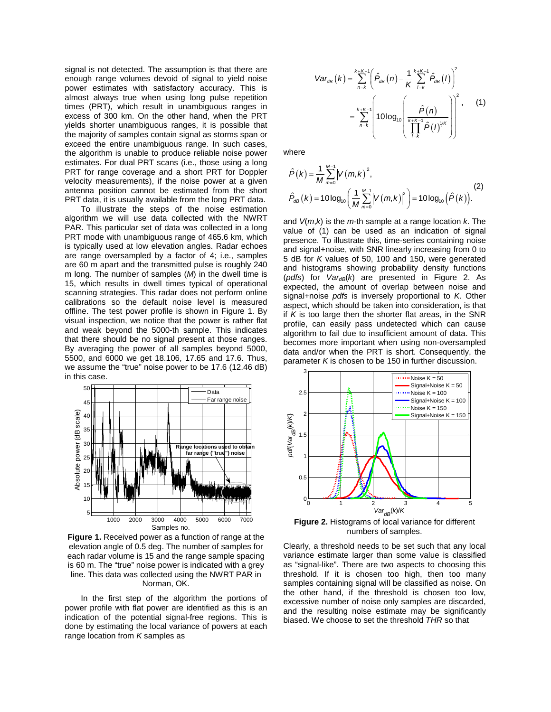signal is not detected. The assumption is that there are enough range volumes devoid of signal to yield noise power estimates with satisfactory accuracy. This is almost always true when using long pulse repetition times (PRT), which result in unambiguous ranges in excess of 300 km. On the other hand, when the PRT yields shorter unambiguous ranges, it is possible that the majority of samples contain signal as storms span or exceed the entire unambiguous range. In such cases, the algorithm is unable to produce reliable noise power estimates. For dual PRT scans (i.e., those using a long PRT for range coverage and a short PRT for Doppler velocity measurements), if the noise power at a given antenna position cannot be estimated from the short PRT data, it is usually available from the long PRT data.

To illustrate the steps of the noise estimation algorithm we will use data collected with the NWRT PAR. This particular set of data was collected in a long PRT mode with unambiguous range of 465.6 km, which is typically used at low elevation angles. Radar echoes are range oversampled by a factor of 4; i.e., samples are 60 m apart and the transmitted pulse is roughly 240 m long. The number of samples (*M*) in the dwell time is 15, which results in dwell times typical of operational scanning strategies. This radar does not perform online calibrations so the default noise level is measured offline. The test power profile is shown in [Figure 1.](#page-1-0) By visual inspection, we notice that the power is rather flat and weak beyond the 5000-th sample. This indicates that there should be no signal present at those ranges. By averaging the power of all samples beyond 5000, 5500, and 6000 we get 18.106, 17.65 and 17.6. Thus, we assume the "true" noise power to be 17.6 (12.46 dB) in this case.



<span id="page-1-0"></span>**Figure 1.** Received power as a function of range at the elevation angle of 0.5 deg. The number of samples for each radar volume is 15 and the range sample spacing is 60 m. The "true" noise power is indicated with a grey line. This data was collected using the NWRT PAR in Norman, OK.

In the first step of the algorithm the portions of power profile with flat power are identified as this is an indication of the potential signal-free regions. This is done by estimating the local variance of powers at each range location from *K* samples as

$$
Var_{dB}(k) = \sum_{n=k}^{k+K-1} \left( \hat{P}_{dB}(n) - \frac{1}{K} \sum_{l=k}^{k+K-1} \hat{P}_{dB}(l) \right)^{2}
$$

$$
= \sum_{n=k}^{k+K-1} \left( 10 \log_{10} \left( \frac{\hat{P}(n)}{\prod_{l=k}^{k+K-1} \hat{P}(l)^{1/k}} \right) \right)^{2}, \qquad (1)
$$

where

$$
\hat{P}(k) = \frac{1}{M} \sum_{m=0}^{M-1} \left| V(m,k) \right|^2,
$$
\n
$$
\hat{P}_{dB}(k) = 10 \log_{10} \left( \frac{1}{M} \sum_{m=0}^{M-1} \left| V(m,k) \right|^2 \right) = 10 \log_{10} \left( \hat{P}(k) \right).
$$
\n(2)

and *V*(*m*,*k*) is the *m*-th sample at a range location *k*. The value of (1) can be used as an indication of signal presence. To illustrate this, time-series containing noise and signal+noise, with SNR linearly increasing from 0 to 5 dB for *K* values of 50, 100 and 150, were generated and histograms showing probability density functions (*pdfs*) for  $Var_{dB}(k)$  are presented in [Figure 2.](#page-1-1) As expected, the amount of overlap between noise and signal+noise *pdfs* is inversely proportional to *K*. Other aspect, which should be taken into consideration, is that if *K* is too large then the shorter flat areas, in the SNR profile, can easily pass undetected which can cause algorithm to fail due to insufficient amount of data. This becomes more important when using non-oversampled data and/or when the PRT is short. Consequently, the parameter *K* is chosen to be 150 in further discussion.



<span id="page-1-1"></span>**Figure 2.** Histograms of local variance for different numbers of samples.

Clearly, a threshold needs to be set such that any local variance estimate larger than some value is classified as "signal-like". There are two aspects to choosing this threshold. If it is chosen too high, then too many samples containing signal will be classified as noise. On the other hand, if the threshold is chosen too low, excessive number of noise only samples are discarded, and the resulting noise estimate may be significantly biased. We choose to set the threshold *THR* so that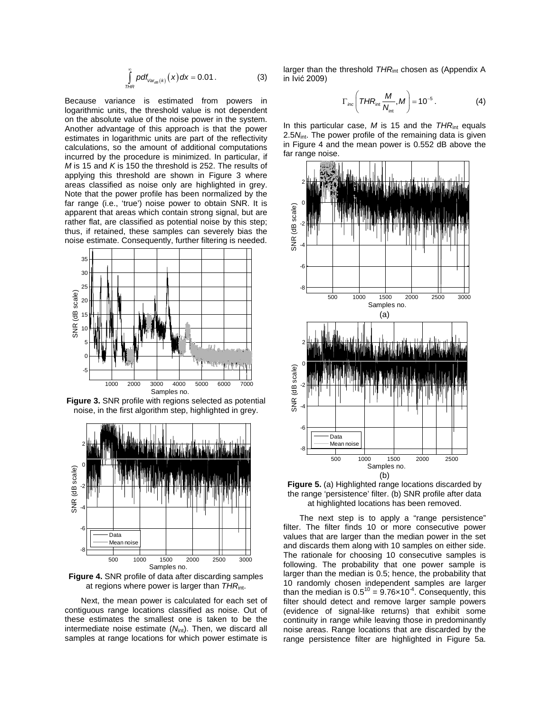$$
\int_{THR}^{\infty} \rho df_{Var_{dB}(k)}(x) dx = 0.01.
$$
 (3)

Because variance is estimated from powers in logarithmic units, the threshold value is not dependent on the absolute value of the noise power in the system. Another advantage of this approach is that the power estimates in logarithmic units are part of the reflectivity calculations, so the amount of additional computations incurred by the procedure is minimized. In particular, if *M* is 15 and *K* is 150 the threshold is 252. The results of applying this threshold are shown in [Figure 3](#page-2-0) where areas classified as noise only are highlighted in grey. Note that the power profile has been normalized by the far range (i.e., 'true') noise power to obtain SNR. It is apparent that areas which contain strong signal, but are rather flat, are classified as potential noise by this step; thus, if retained, these samples can severely bias the noise estimate. Consequently, further filtering is needed.



<span id="page-2-0"></span>**Figure 3.** SNR profile with regions selected as potential noise, in the first algorithm step, highlighted in grey.



<span id="page-2-1"></span>**Figure 4.** SNR profile of data after discarding samples at regions where power is larger than *THR*int.

Next, the mean power is calculated for each set of contiguous range locations classified as noise. Out of these estimates the smallest one is taken to be the intermediate noise estimate (N<sub>int</sub>). Then, we discard all samples at range locations for which power estimate is

larger than the threshold *THR*<sub>int</sub> chosen as (Appendix A in Ivić 2009)

$$
\Gamma_{inc}\left(THR_{int}\frac{M}{N_{int}},M\right)=10^{-5}.
$$
 (4)

In this particular case, *M* is 15 and the *THR*<sub>int</sub> equals 2.5 $N_{\text{int}}$ . The power profile of the remaining data is given in [Figure 4](#page-2-1) and the mean power is 0.552 dB above the far range noise.



<span id="page-2-2"></span>

The next step is to apply a "range persistence" filter. The filter finds 10 or more consecutive power values that are larger than the median power in the set and discards them along with 10 samples on either side. The rationale for choosing 10 consecutive samples is following. The probability that one power sample is larger than the median is 0.5; hence, the probability that 10 randomly chosen independent samples are larger than the median is  $0.5^{10} = 9.76 \times 10^{-4}$ . Consequently, this filter should detect and remove larger sample powers (evidence of signal-like returns) that exhibit some continuity in range while leaving those in predominantly noise areas. Range locations that are discarded by the range persistence filter are highlighted in [Figure 5a](#page-2-2).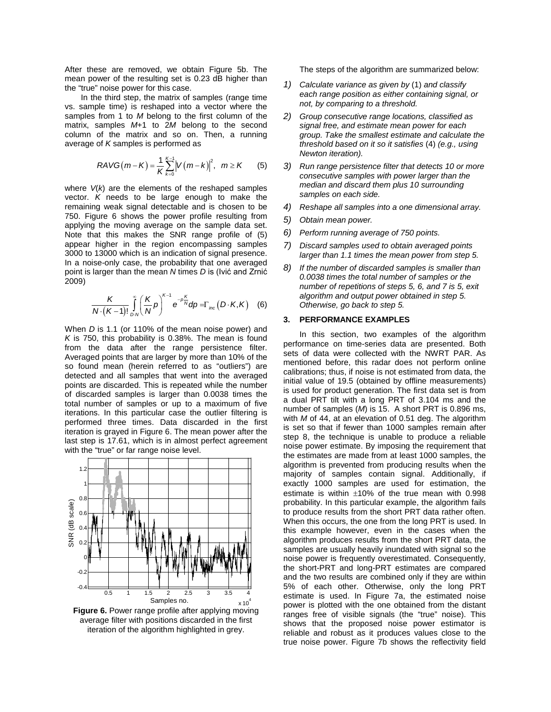After these are removed, we obtain [Figure 5b](#page-2-2). The mean power of the resulting set is 0.23 dB higher than the "true" noise power for this case.

In the third step, the matrix of samples (range time vs. sample time) is reshaped into a vector where the samples from 1 to *M* belong to the first column of the matrix, samples *M*+1 to 2*M* belong to the second column of the matrix and so on. Then, a running average of *K* samples is performed as

$$
RAVG(m-K) = \frac{1}{K} \sum_{k=0}^{K-1} |V(m-k)|^{2}, \ \ m \geq K \qquad (5)
$$

where *V*(*k*) are the elements of the reshaped samples vector. *K* needs to be large enough to make the remaining weak signal detectable and is chosen to be 750. [Figure 6](#page-3-0) shows the power profile resulting from applying the moving average on the sample data set. Note that this makes the SNR range profile of (5) appear higher in the region encompassing samples 3000 to 13000 which is an indication of signal presence. In a noise-only case, the probability that one averaged point is larger than the mean *N* times *D* is (Ivić and Zrnić 2009)

$$
\frac{K}{N\cdot(K-1)!}\int_{D\cdot N}^{\infty}\left(\frac{K}{N}p\right)^{K-1}e^{-p\frac{K}{N}}dp=\Gamma_{inc}\left(D\cdot K,K\right)\quad(6)
$$

When *D* is 1.1 (or 110% of the mean noise power) and *K* is 750, this probability is 0.38%. The mean is found from the data after the range persistence filter. Averaged points that are larger by more than 10% of the so found mean (herein referred to as "outliers") are detected and all samples that went into the averaged points are discarded. This is repeated while the number of discarded samples is larger than 0.0038 times the total number of samples or up to a maximum of five iterations. In this particular case the outlier filtering is performed three times. Data discarded in the first iteration is grayed in [Figure 6.](#page-3-0) The mean power after the last step is 17.61, which is in almost perfect agreement with the "true" or far range noise level.



<span id="page-3-0"></span>**Figure 6.** Power range profile after applying moving average filter with positions discarded in the first iteration of the algorithm highlighted in grey.

The steps of the algorithm are summarized below:

- *1) Calculate variance as given by* (1) *and classify each range position as either containing signal, or not, by comparing to a threshold.*
- *2) Group consecutive range locations, classified as signal free, and estimate mean power for each group. Take the smallest estimate and calculate the threshold based on it so it satisfies* (4) *(e.g., using Newton iteration).*
- *3) Run range persistence filter that detects 10 or more consecutive samples with power larger than the median and discard them plus 10 surrounding samples on each side.*
- *4) Reshape all samples into a one dimensional array.*
- *5) Obtain mean power.*
- *6) Perform running average of 750 points.*
- *7) Discard samples used to obtain averaged points larger than 1.1 times the mean power from step 5.*
- *8) If the number of discarded samples is smaller than 0.0038 times the total number of samples or the number of repetitions of steps 5, 6, and 7 is 5, exit algorithm and output power obtained in step 5. Otherwise, go back to step 5.*

#### **3. PERFORMANCE EXAMPLES**

In this section, two examples of the algorithm performance on time-series data are presented. Both sets of data were collected with the NWRT PAR. As mentioned before, this radar does not perform online calibrations; thus, if noise is not estimated from data, the initial value of 19.5 (obtained by offline measurements) is used for product generation. The first data set is from a dual PRT tilt with a long PRT of 3.104 ms and the number of samples (*M*) is 15. A short PRT is 0.896 ms, with *M* of 44, at an elevation of 0.51 deg. The algorithm is set so that if fewer than 1000 samples remain after step 8, the technique is unable to produce a reliable noise power estimate. By imposing the requirement that the estimates are made from at least 1000 samples, the algorithm is prevented from producing results when the majority of samples contain signal. Additionally, if exactly 1000 samples are used for estimation, the estimate is within  $\pm 10\%$  of the true mean with 0.998 probability. In this particular example, the algorithm fails to produce results from the short PRT data rather often. When this occurs, the one from the long PRT is used. In this example however, even in the cases when the algorithm produces results from the short PRT data, the samples are usually heavily inundated with signal so the noise power is frequently overestimated. Consequently, the short-PRT and long-PRT estimates are compared and the two results are combined only if they are within 5% of each other. Otherwise, only the long PRT estimate is used. In [Figure 7a](#page-4-0), the estimated noise power is plotted with the one obtained from the distant ranges free of visible signals (the "true" noise). This shows that the proposed noise power estimator is reliable and robust as it produces values close to the true noise power. [Figure 7b](#page-4-0) shows the reflectivity field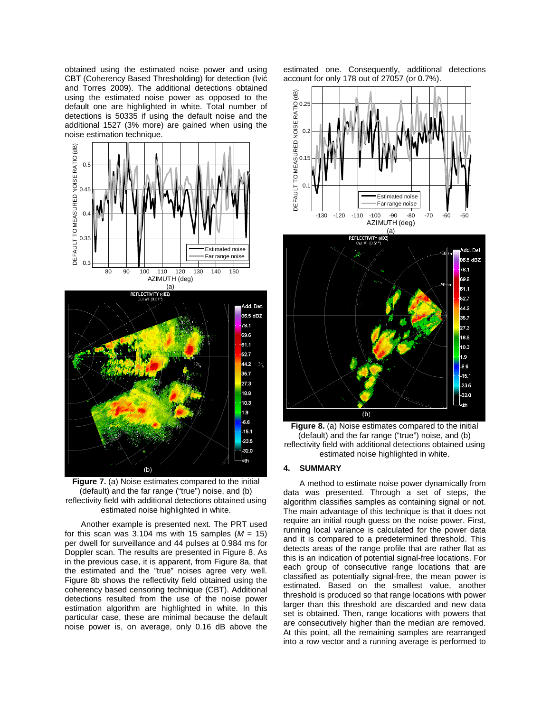obtained using the estimated noise power and using CBT (Coherency Based Thresholding) for detection (Ivić and Torres 2009). The additional detections obtained using the estimated noise power as opposed to the default one are highlighted in white. Total number of detections is 50335 if using the default noise and the additional 1527 (3% more) are gained when using the noise estimation technique.



<span id="page-4-0"></span>**Figure 7.** (a) Noise estimates compared to the initial (default) and the far range ("true") noise, and (b) reflectivity field with additional detections obtained using estimated noise highlighted in white.

Another example is presented next. The PRT used for this scan was  $3.104$  ms with 15 samples ( $M = 15$ ) per dwell for surveillance and 44 pulses at 0.984 ms for Doppler scan. The results are presented in [Figure 8.](#page-4-1) As in the previous case, it is apparent, from [Figure 8a](#page-4-1), that the estimated and the "true" noises agree very well. [Figure 8b](#page-4-1) shows the reflectivity field obtained using the coherency based censoring technique (CBT). Additional detections resulted from the use of the noise power estimation algorithm are highlighted in white. In this particular case, these are minimal because the default noise power is, on average, only 0.16 dB above the

estimated one. Consequently, additional detections account for only 178 out of 27057 (or 0.7%).



<span id="page-4-1"></span>**Figure 8.** (a) Noise estimates compared to the initial (default) and the far range ("true") noise, and (b) reflectivity field with additional detections obtained using estimated noise highlighted in white.

#### **4. SUMMARY**

A method to estimate noise power dynamically from data was presented. Through a set of steps, the algorithm classifies samples as containing signal or not. The main advantage of this technique is that it does not require an initial rough guess on the noise power. First, running local variance is calculated for the power data and it is compared to a predetermined threshold. This detects areas of the range profile that are rather flat as this is an indication of potential signal-free locations. For each group of consecutive range locations that are classified as potentially signal-free, the mean power is estimated. Based on the smallest value, another threshold is produced so that range locations with power larger than this threshold are discarded and new data set is obtained. Then, range locations with powers that are consecutively higher than the median are removed. At this point, all the remaining samples are rearranged into a row vector and a running average is performed to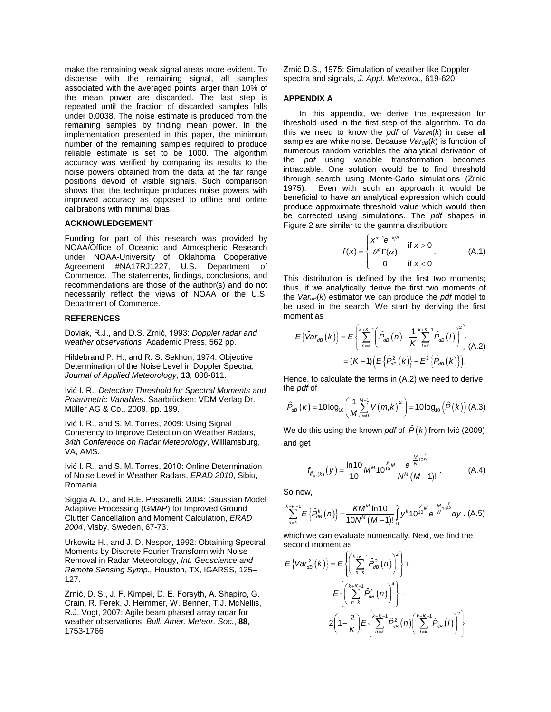make the remaining weak signal areas more evident. To dispense with the remaining signal, all samples associated with the averaged points larger than 10% of the mean power are discarded. The last step is repeated until the fraction of discarded samples falls under 0.0038. The noise estimate is produced from the remaining samples by finding mean power. In the implementation presented in this paper, the minimum number of the remaining samples required to produce reliable estimate is set to be 1000. The algorithm accuracy was verified by comparing its results to the noise powers obtained from the data at the far range positions devoid of visible signals. Such comparison shows that the technique produces noise powers with improved accuracy as opposed to offline and online calibrations with minimal bias.

## **ACKNOWLEDGEMENT**

Funding for part of this research was provided by NOAA/Office of Oceanic and Atmospheric Research under NOAA-University of Oklahoma Cooperative Agreement #NA17RJ1227, U.S. Department of Commerce. The statements, findings, conclusions, and recommendations are those of the author(s) and do not necessarily reflect the views of NOAA or the U.S. Department of Commerce.

### **REFERENCES**

Doviak, R.J., and D.S. Zrnić, 1993: *Doppler radar and weather observations*. Academic Press, 562 pp.

Hildebrand P. H., and R. S. Sekhon, 1974: Objective Determination of the Noise Level in Doppler Spectra, *Journal of Applied Meteorology*, **13**, 808-811.

Ivić I. R., *Detection Threshold for Spectral Moments and Polarimetric Variables*. Saarbrücken: VDM Verlag Dr. Müller AG & Co., 2009, pp. 199.

Ivić I. R., and S. M. Torres, 2009: Using Signal Coherency to Improve Detection on Weather Radars, *34th Conference on Radar Meteorology*, Williamsburg, VA, AMS.

Ivić I. R., and S. M. Torres, 2010: Online Determination of Noise Level in Weather Radars, *ERAD 2010*, Sibiu, Romania.

Siggia A. D., and R.E. Passarelli, 2004: Gaussian Model Adaptive Processing (GMAP) for Improved Ground Clutter Cancellation and Moment Calculation, *ERAD 2004*, Visby, Sweden, 67-73.

Urkowitz H., and J. D. Nespor, 1992: Obtaining Spectral Moments by Discrete Fourier Transform with Noise Removal in Radar Meteorology, *Int. Geoscience and Remote Sensing Symp.,* Houston, TX, IGARSS, 125– 127.

Zrnić, D. S., J. F. Kimpel, D. E. Forsyth, A. Shapiro, G. Crain, R. Ferek, J. Heimmer, W. Benner, T.J. McNellis, R.J. Vogt, 2007: Agile beam phased array radar for weather observations. *Bull. Amer. Meteor. Soc.*, **88**, 1753-1766

Zrnić D.S., 1975: Simulation of weather like Doppler spectra and signals, *J. Appl. Meteorol*., 619-620.

## **APPENDIX A**

In this appendix, we derive the expression for threshold used in the first step of the algorithm. To do this we need to know the *pdf* of  $Var_{dB}(k)$  in case all samples are white noise. Because *VardB(k)* is function of numerous random variables the analytical derivation of the *pdf* using variable transformation becomes intractable. One solution would be to find threshold through search using Monte-Carlo simulations (Zrnić 1975). Even with such an approach it would be beneficial to have an analytical expression which could produce approximate threshold value which would then be corrected using simulations. The *pdf* shapes in [Figure 2](#page-1-1) are similar to the gamma distribution:

$$
f(x) = \begin{cases} \frac{x^{\alpha-1}e^{-x/\theta}}{\theta^{\alpha}\Gamma(\alpha)} & \text{if } x > 0 \\ 0 & \text{if } x < 0 \end{cases}
$$
 (A.1)

This distribution is defined by the first two moments; thus, if we analytically derive the first two moments of the  $Var_{dB}(k)$  estimator we can produce the *pdf* model to be used in the search. We start by deriving the first moment as

$$
E\left\{\hat{V}ar_{dB}(k)\right\} = E\left\{\sum_{n=k}^{k+K-1} \left(\hat{P}_{dB}(n) - \frac{1}{K} \sum_{l=k}^{k+K-1} \hat{P}_{dB}(l)\right)^{2}\right\}
$$

$$
= (K-1)\left(E\left\{\hat{P}_{dB}^{2}(k)\right\} - E^{2}\left\{\hat{P}_{dB}(k)\right\}\right).
$$

Hence, to calculate the terms in (A.2) we need to derive the *pdf* of

$$
\hat{P}_{dB}(k) = 10\log_{10}\left(\frac{1}{M}\sum_{m=0}^{M-1} \left|V(m,k)\right|^2\right) = 10\log_{10}\left(\hat{P}(k)\right)
$$
(A.3)

We do this using the known *pdf* of  $\hat{P}(k)$  from Ivić (2009) and get

$$
f_{\hat{P}_{\text{dB}}(k)}(y) = \frac{\ln 10}{10} M^M 10^{\frac{y}{10}M} \frac{e^{-\frac{M}{N}10^{\frac{y}{10}}}}{N^M (M-1)!}.
$$
 (A.4)

So now,

$$
\sum_{n=k}^{k+K-1} E\left\{\hat{P}_{\text{dB}}^{k}(n)\right\} = \frac{KM^M \ln 10}{10N^M (M-1)!} \int_{0}^{\infty} y^k 10^{\frac{y}{10}} \text{e}^{-\frac{M}{N}10^{\frac{y}{10}}}\text{d}y \text{ . (A.5)}
$$

which we can evaluate numerically. Next, we find the second moment as

$$
E\left\{Var_{dB}^{2}(k)\right\} = E\left\{\left(\sum_{n=k}^{k+K-1}\hat{P}_{dB}^{2}(n)\right)^{2}\right\} +
$$

$$
E\left\{\left(\sum_{n=k}^{k+K-1}\hat{P}_{dB}^{2}(n)\right)^{4}\right\} +
$$

$$
2\left(1-\frac{2}{K}\right)E\left\{\sum_{n=k}^{k+K-1}\hat{P}_{dB}^{2}(n)\left(\sum_{l=k}^{k+K-1}\hat{P}_{dB}^{2}(l)\right)^{2}\right\}
$$